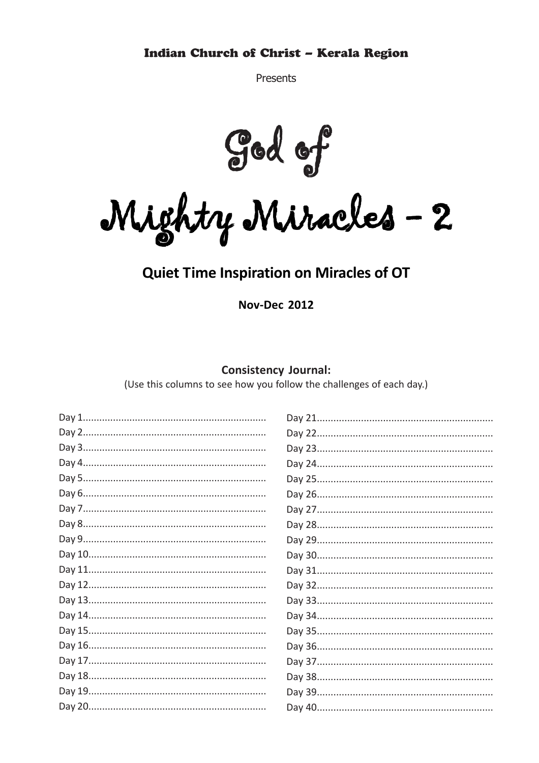Presents

God of<br>Mighty Miracles - 2

### **Quiet Time Inspiration on Miracles of OT**

**Nov-Dec 2012** 

#### **Consistency Journal:**

(Use this columns to see how you follow the challenges of each day.)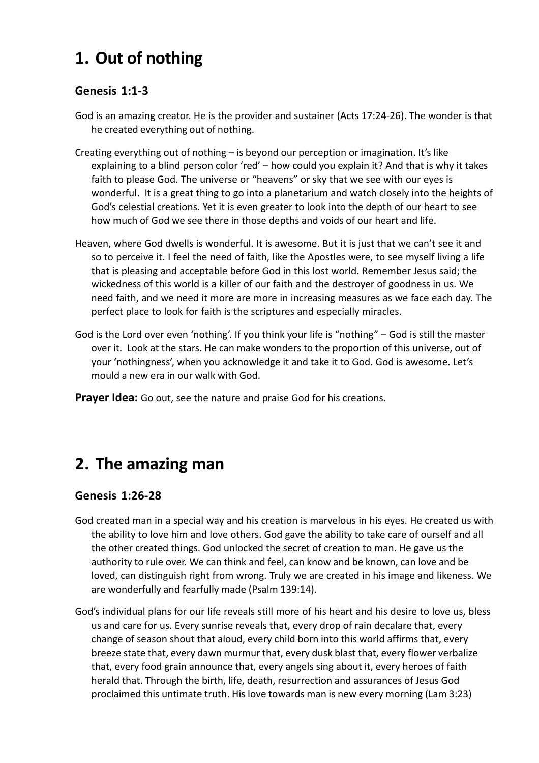# **1. Out of nothing**

#### **Genesis 1:1-3**

- God is an amazing creator. He is the provider and sustainer (Acts 17:24-26). The wonder is that he created everything out of nothing.
- Creating everything out of nothing is beyond our perception or imagination. It's like explaining to a blind person color 'red' – how could you explain it? And that is why it takes faith to please God. The universe or "heavens" or sky that we see with our eyes is wonderful. It is a great thing to go into a planetarium and watch closely into the heights of God's celestial creations. Yet it is even greater to look into the depth of our heart to see how much of God we see there in those depths and voids of our heart and life.
- Heaven, where God dwells is wonderful. It is awesome. But it is just that we can't see it and so to perceive it. I feel the need of faith, like the Apostles were, to see myself living a life that is pleasing and acceptable before God in this lost world. Remember Jesus said; the wickedness of this world is a killer of our faith and the destroyer of goodness in us. We need faith, and we need it more are more in increasing measures as we face each day. The perfect place to look for faith is the scriptures and especially miracles.
- God is the Lord over even 'nothing'. If you think your life is "nothing" God is still the master over it. Look at the stars. He can make wonders to the proportion of this universe, out of your 'nothingness', when you acknowledge it and take it to God. God is awesome. Let's mould a new era in our walk with God.

**Prayer Idea:** Go out, see the nature and praise God for his creations.

## **2. The amazing man**

### **Genesis 1:26-28**

- God created man in a special way and his creation is marvelous in his eyes. He created us with the ability to love him and love others. God gave the ability to take care of ourself and all the other created things. God unlocked the secret of creation to man. He gave us the authority to rule over. We can think and feel, can know and be known, can love and be loved, can distinguish right from wrong. Truly we are created in his image and likeness. We are wonderfully and fearfully made (Psalm 139:14).
- God's individual plans for our life reveals still more of his heart and his desire to love us, bless us and care for us. Every sunrise reveals that, every drop of rain decalare that, every change of season shout that aloud, every child born into this world affirms that, every breeze state that, every dawn murmur that, every dusk blast that, every flower verbalize that, every food grain announce that, every angels sing about it, every heroes of faith herald that. Through the birth, life, death, resurrection and assurances of Jesus God proclaimed this untimate truth. His love towards man is new every morning (Lam 3:23)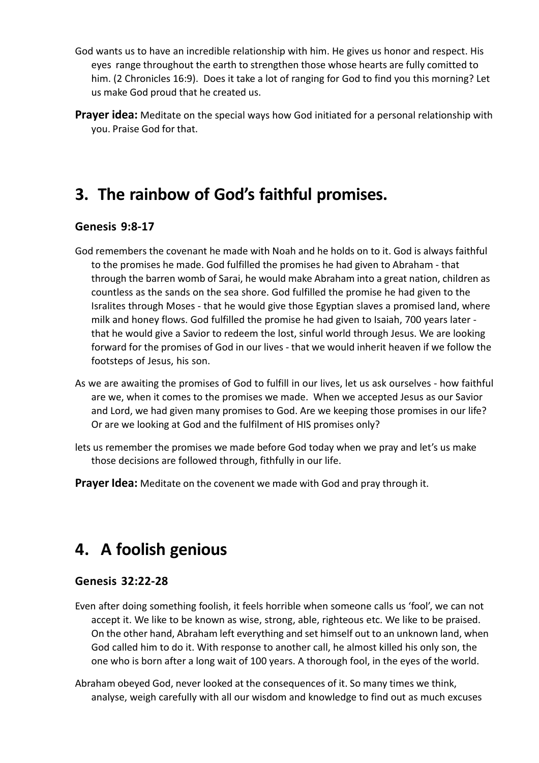- God wants us to have an incredible relationship with him. He gives us honor and respect. His eyes range throughout the earth to strengthen those whose hearts are fully comitted to him. (2 Chronicles 16:9). Does it take a lot of ranging for God to find you this morning? Let us make God proud that he created us.
- **Prayer idea:** Meditate on the special ways how God initiated for a personal relationship with you. Praise God for that.

## **3. The rainbow of God's faithful promises.**

#### **Genesis 9:8-17**

- God remembers the covenant he made with Noah and he holds on to it. God is always faithful to the promises he made. God fulfilled the promises he had given to Abraham - that through the barren womb of Sarai, he would make Abraham into a great nation, children as countless as the sands on the sea shore. God fulfilled the promise he had given to the Isralites through Moses - that he would give those Egyptian slaves a promised land, where milk and honey flows. God fulfilled the promise he had given to Isaiah, 700 years later that he would give a Savior to redeem the lost, sinful world through Jesus. We are looking forward for the promises of God in our lives - that we would inherit heaven if we follow the footsteps of Jesus, his son.
- As we are awaiting the promises of God to fulfill in our lives, let us ask ourselves how faithful are we, when it comes to the promises we made. When we accepted Jesus as our Savior and Lord, we had given many promises to God. Are we keeping those promises in our life? Or are we looking at God and the fulfilment of HIS promises only?
- lets us remember the promises we made before God today when we pray and let's us make those decisions are followed through, fithfully in our life.
- **Prayer Idea:** Meditate on the covenent we made with God and pray through it.

### **4. A foolish genious**

#### **Genesis 32:22-28**

- Even after doing something foolish, it feels horrible when someone calls us 'fool', we can not accept it. We like to be known as wise, strong, able, righteous etc. We like to be praised. On the other hand, Abraham left everything and set himself out to an unknown land, when God called him to do it. With response to another call, he almost killed his only son, the one who is born after a long wait of 100 years. A thorough fool, in the eyes of the world.
- Abraham obeyed God, never looked at the consequences of it. So many times we think, analyse, weigh carefully with all our wisdom and knowledge to find out as much excuses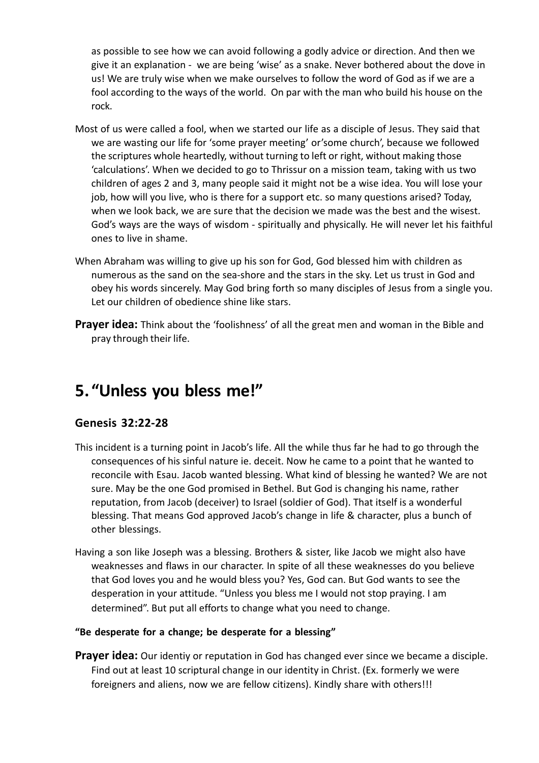as possible to see how we can avoid following a godly advice or direction. And then we give it an explanation - we are being 'wise' as a snake. Never bothered about the dove in us! We are truly wise when we make ourselves to follow the word of God as if we are a fool according to the ways of the world. On par with the man who build his house on the rock.

- Most of us were called a fool, when we started our life as a disciple of Jesus. They said that we are wasting our life for 'some prayer meeting' or'some church', because we followed the scriptures whole heartedly, without turning to left or right, without making those 'calculations'. When we decided to go to Thrissur on a mission team, taking with us two children of ages 2 and 3, many people said it might not be a wise idea. You will lose your job, how will you live, who is there for a support etc. so many questions arised? Today, when we look back, we are sure that the decision we made was the best and the wisest. God's ways are the ways of wisdom - spiritually and physically. He will never let his faithful ones to live in shame.
- When Abraham was willing to give up his son for God, God blessed him with children as numerous as the sand on the sea-shore and the stars in the sky. Let us trust in God and obey his words sincerely. May God bring forth so many disciples of Jesus from a single you. Let our children of obedience shine like stars.
- **Prayer idea:** Think about the 'foolishness' of all the great men and woman in the Bible and pray through their life.

## **5. "Unless you bless me!"**

### **Genesis 32:22-28**

- This incident is a turning point in Jacob's life. All the while thus far he had to go through the consequences of his sinful nature ie. deceit. Now he came to a point that he wanted to reconcile with Esau. Jacob wanted blessing. What kind of blessing he wanted? We are not sure. May be the one God promised in Bethel. But God is changing his name, rather reputation, from Jacob (deceiver) to Israel (soldier of God). That itself is a wonderful blessing. That means God approved Jacob's change in life & character, plus a bunch of other blessings.
- Having a son like Joseph was a blessing. Brothers & sister, like Jacob we might also have weaknesses and flaws in our character. In spite of all these weaknesses do you believe that God loves you and he would bless you? Yes, God can. But God wants to see the desperation in your attitude. "Unless you bless me I would not stop praying. I am determined". But put all efforts to change what you need to change.

#### **"Be desperate for a change; be desperate for a blessing"**

**Prayer idea:** Our identiy or reputation in God has changed ever since we became a disciple. Find out at least 10 scriptural change in our identity in Christ. (Ex. formerly we were foreigners and aliens, now we are fellow citizens). Kindly share with others!!!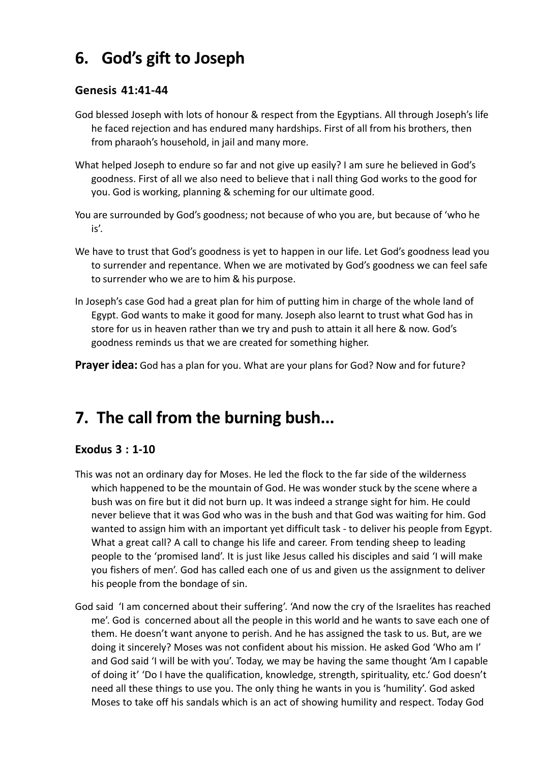# **6. God's gift to Joseph**

#### **Genesis 41:41-44**

- God blessed Joseph with lots of honour & respect from the Egyptians. All through Joseph's life he faced rejection and has endured many hardships. First of all from his brothers, then from pharaoh's household, in jail and many more.
- What helped Joseph to endure so far and not give up easily? I am sure he believed in God's goodness. First of all we also need to believe that i nall thing God works to the good for you. God is working, planning & scheming for our ultimate good.
- You are surrounded by God's goodness; not because of who you are, but because of 'who he is'.
- We have to trust that God's goodness is yet to happen in our life. Let God's goodness lead you to surrender and repentance. When we are motivated by God's goodness we can feel safe to surrender who we are to him & his purpose.
- In Joseph's case God had a great plan for him of putting him in charge of the whole land of Egypt. God wants to make it good for many. Joseph also learnt to trust what God has in store for us in heaven rather than we try and push to attain it all here & now. God's goodness reminds us that we are created for something higher.

**Prayer idea:** God has a plan for you. What are your plans for God? Now and for future?

## **7. The call from the burning bush...**

### **Exodus 3 : 1-10**

- This was not an ordinary day for Moses. He led the flock to the far side of the wilderness which happened to be the mountain of God. He was wonder stuck by the scene where a bush was on fire but it did not burn up. It was indeed a strange sight for him. He could never believe that it was God who was in the bush and that God was waiting for him. God wanted to assign him with an important yet difficult task - to deliver his people from Egypt. What a great call? A call to change his life and career. From tending sheep to leading people to the 'promised land'. It is just like Jesus called his disciples and said 'I will make you fishers of men'. God has called each one of us and given us the assignment to deliver his people from the bondage of sin.
- God said 'I am concerned about their suffering'. 'And now the cry of the Israelites has reached me'. God is concerned about all the people in this world and he wants to save each one of them. He doesn't want anyone to perish. And he has assigned the task to us. But, are we doing it sincerely? Moses was not confident about his mission. He asked God 'Who am I' and God said 'I will be with you'. Today, we may be having the same thought 'Am I capable of doing it' 'Do I have the qualification, knowledge, strength, spirituality, etc.' God doesn't need all these things to use you. The only thing he wants in you is 'humility'. God asked Moses to take off his sandals which is an act of showing humility and respect. Today God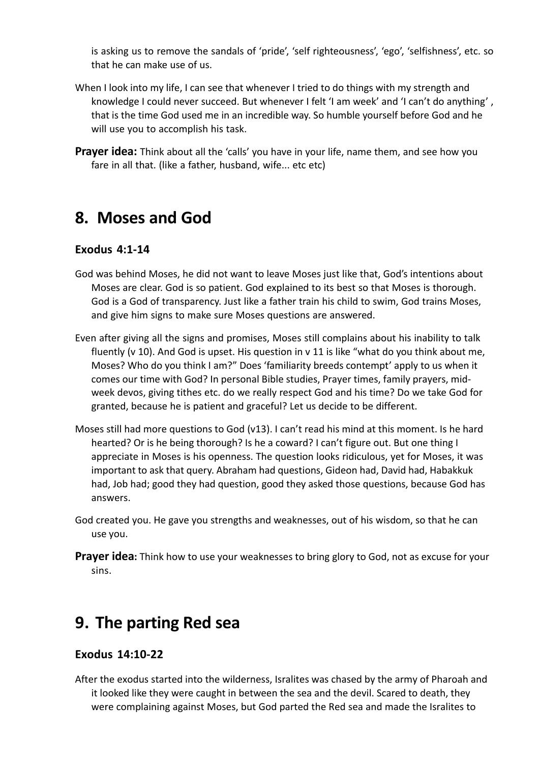is asking us to remove the sandals of 'pride', 'self righteousness', 'ego', 'selfishness', etc. so that he can make use of us.

- When I look into my life, I can see that whenever I tried to do things with my strength and knowledge I could never succeed. But whenever I felt 'I am week' and 'I can't do anything' , that is the time God used me in an incredible way. So humble yourself before God and he will use you to accomplish his task.
- **Prayer idea:** Think about all the 'calls' you have in your life, name them, and see how you fare in all that. (like a father, husband, wife... etc etc)

### **8. Moses and God**

#### **Exodus 4:1-14**

- God was behind Moses, he did not want to leave Moses just like that, God's intentions about Moses are clear. God is so patient. God explained to its best so that Moses is thorough. God is a God of transparency. Just like a father train his child to swim, God trains Moses, and give him signs to make sure Moses questions are answered.
- Even after giving all the signs and promises, Moses still complains about his inability to talk fluently (v 10). And God is upset. His question in v 11 is like "what do you think about me, Moses? Who do you think I am?" Does 'familiarity breeds contempt' apply to us when it comes our time with God? In personal Bible studies, Prayer times, family prayers, midweek devos, giving tithes etc. do we really respect God and his time? Do we take God for granted, because he is patient and graceful? Let us decide to be different.
- Moses still had more questions to God (v13). I can't read his mind at this moment. Is he hard hearted? Or is he being thorough? Is he a coward? I can't figure out. But one thing I appreciate in Moses is his openness. The question looks ridiculous, yet for Moses, it was important to ask that query. Abraham had questions, Gideon had, David had, Habakkuk had, Job had; good they had question, good they asked those questions, because God has answers.
- God created you. He gave you strengths and weaknesses, out of his wisdom, so that he can use you.
- **Prayer idea:** Think how to use your weaknesses to bring glory to God, not as excuse for your sins.

### **9. The parting Red sea**

#### **Exodus 14:10-22**

After the exodus started into the wilderness, Isralites was chased by the army of Pharoah and it looked like they were caught in between the sea and the devil. Scared to death, they were complaining against Moses, but God parted the Red sea and made the Isralites to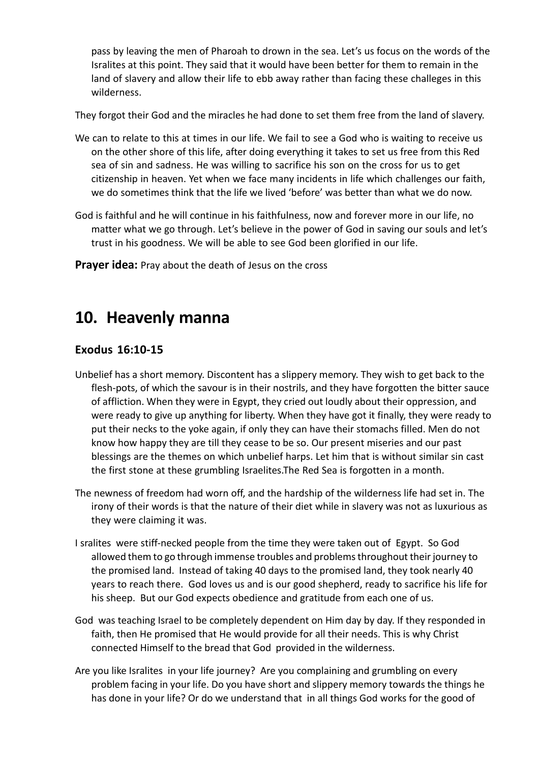pass by leaving the men of Pharoah to drown in the sea. Let's us focus on the words of the Isralites at this point. They said that it would have been better for them to remain in the land of slavery and allow their life to ebb away rather than facing these challeges in this wilderness.

They forgot their God and the miracles he had done to set them free from the land of slavery.

- We can to relate to this at times in our life. We fail to see a God who is waiting to receive us on the other shore of this life, after doing everything it takes to set us free from this Red sea of sin and sadness. He was willing to sacrifice his son on the cross for us to get citizenship in heaven. Yet when we face many incidents in life which challenges our faith, we do sometimes think that the life we lived 'before' was better than what we do now.
- God is faithful and he will continue in his faithfulness, now and forever more in our life, no matter what we go through. Let's believe in the power of God in saving our souls and let's trust in his goodness. We will be able to see God been glorified in our life.

**Prayer idea:** Pray about the death of Jesus on the cross

### **10. Heavenly manna**

#### **Exodus 16:10-15**

- Unbelief has a short memory. Discontent has a slippery memory. They wish to get back to the flesh-pots, of which the savour is in their nostrils, and they have forgotten the bitter sauce of affliction. When they were in Egypt, they cried out loudly about their oppression, and were ready to give up anything for liberty. When they have got it finally, they were ready to put their necks to the yoke again, if only they can have their stomachs filled. Men do not know how happy they are till they cease to be so. Our present miseries and our past blessings are the themes on which unbelief harps. Let him that is without similar sin cast the first stone at these grumbling Israelites.The Red Sea is forgotten in a month.
- The newness of freedom had worn off, and the hardship of the wilderness life had set in. The irony of their words is that the nature of their diet while in slavery was not as luxurious as they were claiming it was.
- I sralites were stiff-necked people from the time they were taken out of Egypt. So God allowed them to go through immense troubles and problems throughout their journey to the promised land. Instead of taking 40 days to the promised land, they took nearly 40 years to reach there. God loves us and is our good shepherd, ready to sacrifice his life for his sheep. But our God expects obedience and gratitude from each one of us.
- God was teaching Israel to be completely dependent on Him day by day. If they responded in faith, then He promised that He would provide for all their needs. This is why Christ connected Himself to the bread that God provided in the wilderness.
- Are you like Isralites in your life journey? Are you complaining and grumbling on every problem facing in your life. Do you have short and slippery memory towards the things he has done in your life? Or do we understand that in all things God works for the good of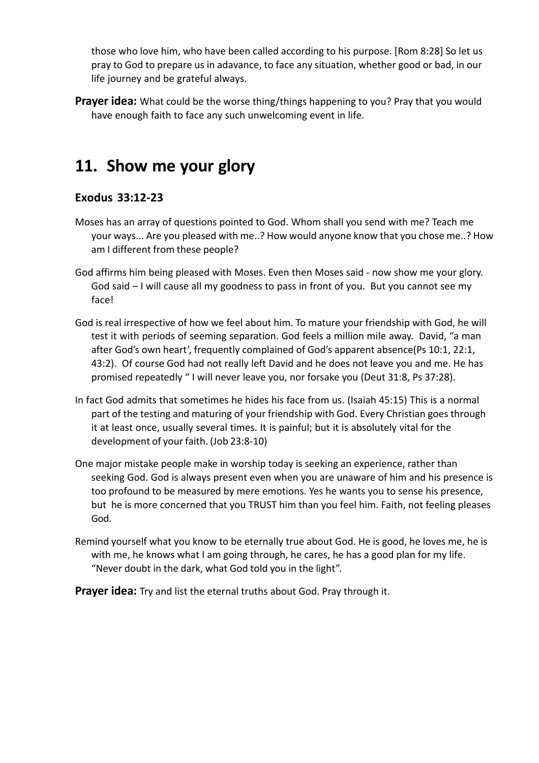those who love him, who have been called according to his purpose. [Rom 8:28] So let us pray to God to prepare us in adavance, to face any situation, whether good or bad, in our life journey and be grateful always.

**Prayer idea:** What could be the worse thing/things happening to you? Pray that you would have enough faith to face any such unwelcoming event in life.

### **11. Show me your glory**

### **Exodus 33:12-23**

- Moses has an array of questions pointed to God. Whom shall you send with me? Teach me your ways... Are you pleased with me..? How would anyone know that you chose me..? How am I different from these people?
- God affirms him being pleased with Moses. Even then Moses said now show me your glory. God said – I will cause all my goodness to pass in front of you. But you cannot see my face!
- God is real irrespective of how we feel about him. To mature your friendship with God, he will test it with periods of seeming separation. God feels a million mile away. David, "a man after God's own heart', frequently complained of God's apparent absence(Ps 10:1, 22:1, 43:2). Of course God had not really left David and he does not leave you and me. He has promised repeatedly " I will never leave you, nor forsake you (Deut 31:8, Ps 37:28).
- In fact God admits that sometimes he hides his face from us. (Isaiah 45:15) This is a normal part of the testing and maturing of your friendship with God. Every Christian goes through it at least once, usually several times. It is painful; but it is absolutely vital for the development of your faith. (Job 23:8-10)
- One major mistake people make in worship today is seeking an experience, rather than seeking God. God is always present even when you are unaware of him and his presence is too profound to be measured by mere emotions. Yes he wants you to sense his presence, but he is more concerned that you TRUST him than you feel him. Faith, not feeling pleases God.
- Remind yourself what you know to be eternally true about God. He is good, he loves me, he is with me, he knows what I am going through, he cares, he has a good plan for my life. "Never doubt in the dark, what God told you in the light".

**Prayer idea:** Try and list the eternal truths about God. Pray through it.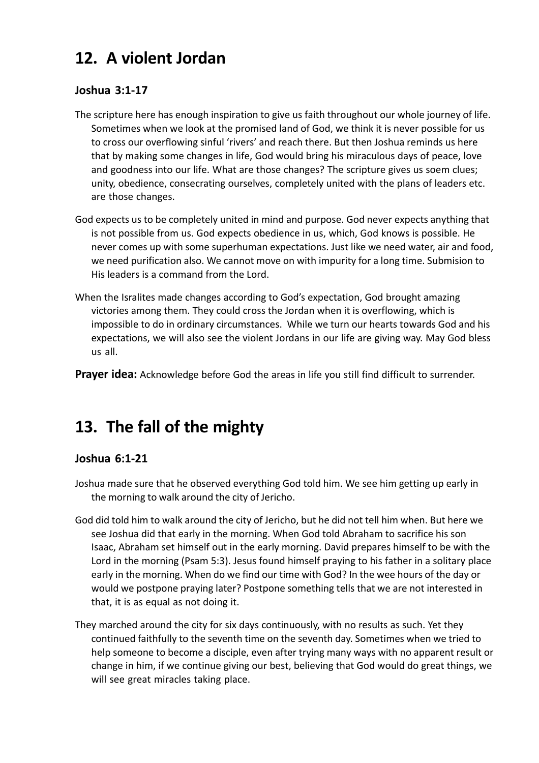# **12. A violent Jordan**

#### **Joshua 3:1-17**

- The scripture here has enough inspiration to give us faith throughout our whole journey of life. Sometimes when we look at the promised land of God, we think it is never possible for us to cross our overflowing sinful 'rivers' and reach there. But then Joshua reminds us here that by making some changes in life, God would bring his miraculous days of peace, love and goodness into our life. What are those changes? The scripture gives us soem clues; unity, obedience, consecrating ourselves, completely united with the plans of leaders etc. are those changes.
- God expects us to be completely united in mind and purpose. God never expects anything that is not possible from us. God expects obedience in us, which, God knows is possible. He never comes up with some superhuman expectations. Just like we need water, air and food, we need purification also. We cannot move on with impurity for a long time. Submision to His leaders is a command from the Lord.
- When the Isralites made changes according to God's expectation, God brought amazing victories among them. They could cross the Jordan when it is overflowing, which is impossible to do in ordinary circumstances. While we turn our hearts towards God and his expectations, we will also see the violent Jordans in our life are giving way. May God bless us all.
- **Prayer idea:** Acknowledge before God the areas in life you still find difficult to surrender.

# **13. The fall of the mighty**

#### **Joshua 6:1-21**

- Joshua made sure that he observed everything God told him. We see him getting up early in the morning to walk around the city of Jericho.
- God did told him to walk around the city of Jericho, but he did not tell him when. But here we see Joshua did that early in the morning. When God told Abraham to sacrifice his son Isaac, Abraham set himself out in the early morning. David prepares himself to be with the Lord in the morning (Psam 5:3). Jesus found himself praying to his father in a solitary place early in the morning. When do we find our time with God? In the wee hours of the day or would we postpone praying later? Postpone something tells that we are not interested in that, it is as equal as not doing it.
- They marched around the city for six days continuously, with no results as such. Yet they continued faithfully to the seventh time on the seventh day. Sometimes when we tried to help someone to become a disciple, even after trying many ways with no apparent result or change in him, if we continue giving our best, believing that God would do great things, we will see great miracles taking place.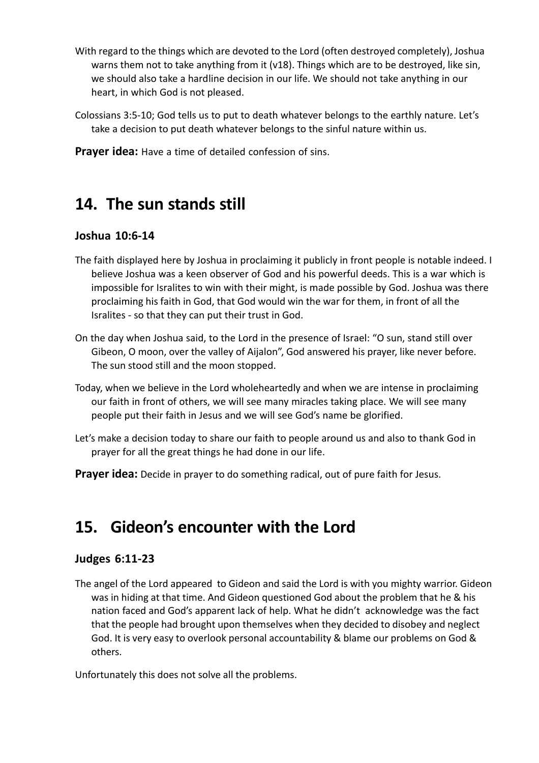- With regard to the things which are devoted to the Lord (often destroyed completely), Joshua warns them not to take anything from it (v18). Things which are to be destroyed, like sin, we should also take a hardline decision in our life. We should not take anything in our heart, in which God is not pleased.
- Colossians 3:5-10; God tells us to put to death whatever belongs to the earthly nature. Let's take a decision to put death whatever belongs to the sinful nature within us.

**Prayer idea:** Have a time of detailed confession of sins.

### **14. The sun stands still**

#### **Joshua 10:6-14**

- The faith displayed here by Joshua in proclaiming it publicly in front people is notable indeed. I believe Joshua was a keen observer of God and his powerful deeds. This is a war which is impossible for Isralites to win with their might, is made possible by God. Joshua was there proclaiming his faith in God, that God would win the war for them, in front of all the Isralites - so that they can put their trust in God.
- On the day when Joshua said, to the Lord in the presence of Israel: "O sun, stand still over Gibeon, O moon, over the valley of Aijalon", God answered his prayer, like never before. The sun stood still and the moon stopped.
- Today, when we believe in the Lord wholeheartedly and when we are intense in proclaiming our faith in front of others, we will see many miracles taking place. We will see many people put their faith in Jesus and we will see God's name be glorified.
- Let's make a decision today to share our faith to people around us and also to thank God in prayer for all the great things he had done in our life.
- **Prayer idea:** Decide in prayer to do something radical, out of pure faith for Jesus.

## **15. Gideon's encounter with the Lord**

#### **Judges 6:11-23**

The angel of the Lord appeared to Gideon and said the Lord is with you mighty warrior. Gideon was in hiding at that time. And Gideon questioned God about the problem that he & his nation faced and God's apparent lack of help. What he didn't acknowledge was the fact that the people had brought upon themselves when they decided to disobey and neglect God. It is very easy to overlook personal accountability & blame our problems on God & others.

Unfortunately this does not solve all the problems.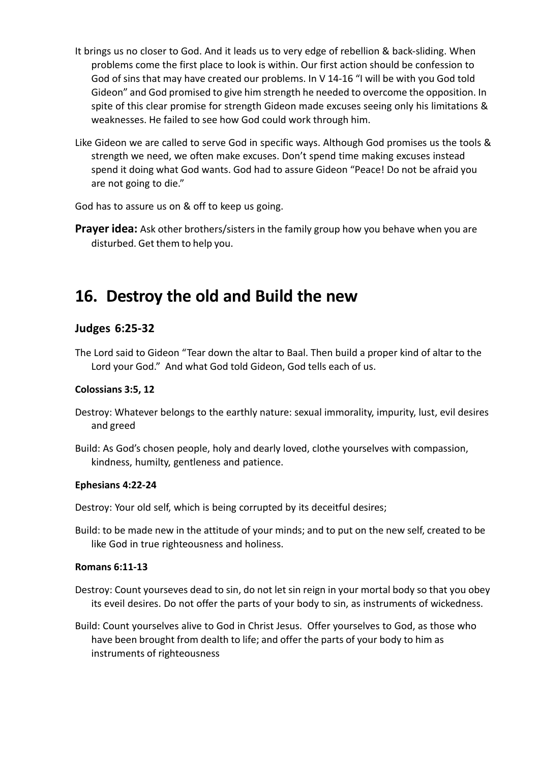- It brings us no closer to God. And it leads us to very edge of rebellion & back-sliding. When problems come the first place to look is within. Our first action should be confession to God of sins that may have created our problems. In V 14-16 "I will be with you God told Gideon" and God promised to give him strength he needed to overcome the opposition. In spite of this clear promise for strength Gideon made excuses seeing only his limitations & weaknesses. He failed to see how God could work through him.
- Like Gideon we are called to serve God in specific ways. Although God promises us the tools & strength we need, we often make excuses. Don't spend time making excuses instead spend it doing what God wants. God had to assure Gideon "Peace! Do not be afraid you are not going to die."

God has to assure us on & off to keep us going.

**Prayer idea:** Ask other brothers/sisters in the family group how you behave when you are disturbed. Get them to help you.

### **16. Destroy the old and Build the new**

#### **Judges 6:25-32**

The Lord said to Gideon "Tear down the altar to Baal. Then build a proper kind of altar to the Lord your God." And what God told Gideon, God tells each of us.

#### **Colossians 3:5, 12**

- Destroy: Whatever belongs to the earthly nature: sexual immorality, impurity, lust, evil desires and greed
- Build: As God's chosen people, holy and dearly loved, clothe yourselves with compassion, kindness, humilty, gentleness and patience.

#### **Ephesians 4:22-24**

Destroy: Your old self, which is being corrupted by its deceitful desires;

Build: to be made new in the attitude of your minds; and to put on the new self, created to be like God in true righteousness and holiness.

#### **Romans 6:11-13**

- Destroy: Count yourseves dead to sin, do not let sin reign in your mortal body so that you obey its eveil desires. Do not offer the parts of your body to sin, as instruments of wickedness.
- Build: Count yourselves alive to God in Christ Jesus. Offer yourselves to God, as those who have been brought from dealth to life; and offer the parts of your body to him as instruments of righteousness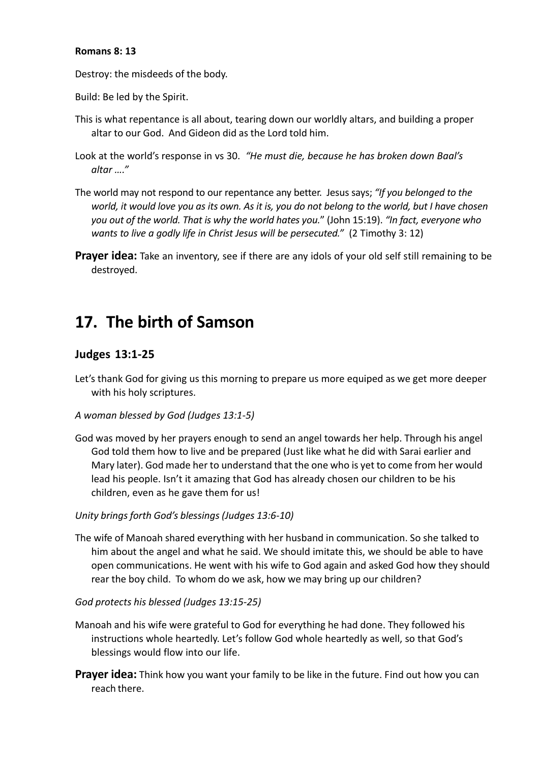#### **Romans 8: 13**

Destroy: the misdeeds of the body.

Build: Be led by the Spirit.

- This is what repentance is all about, tearing down our worldly altars, and building a proper altar to our God. And Gideon did as the Lord told him.
- Look at the world's response in vs 30. *"He must die, because he has broken down Baal's altar …."*
- The world may not respond to our repentance any better. Jesus says; *"If you belonged to the world, it would love you as its own. As it is, you do not belong to the world, but I have chosen you out of the world. That is why the world hates you.*" (John 15:19). *"In fact, everyone who wants to live a godly life in Christ Jesus will be persecuted."* (2 Timothy 3: 12)
- **Prayer idea:** Take an inventory, see if there are any idols of your old self still remaining to be destroyed.

### **17. The birth of Samson**

#### **Judges 13:1-25**

Let's thank God for giving us this morning to prepare us more equiped as we get more deeper with his holy scriptures.

#### *A woman blessed by God (Judges 13:1-5)*

- God was moved by her prayers enough to send an angel towards her help. Through his angel God told them how to live and be prepared (Just like what he did with Sarai earlier and Mary later). God made her to understand that the one who is yet to come from her would lead his people. Isn't it amazing that God has already chosen our children to be his children, even as he gave them for us!
- *Unity brings forth God's blessings (Judges 13:6-10)*
- The wife of Manoah shared everything with her husband in communication. So she talked to him about the angel and what he said. We should imitate this, we should be able to have open communications. He went with his wife to God again and asked God how they should rear the boy child. To whom do we ask, how we may bring up our children?
- *God protects his blessed (Judges 13:15-25)*
- Manoah and his wife were grateful to God for everything he had done. They followed his instructions whole heartedly. Let's follow God whole heartedly as well, so that God's blessings would flow into our life.
- **Prayer idea:** Think how you want your family to be like in the future. Find out how you can reach there.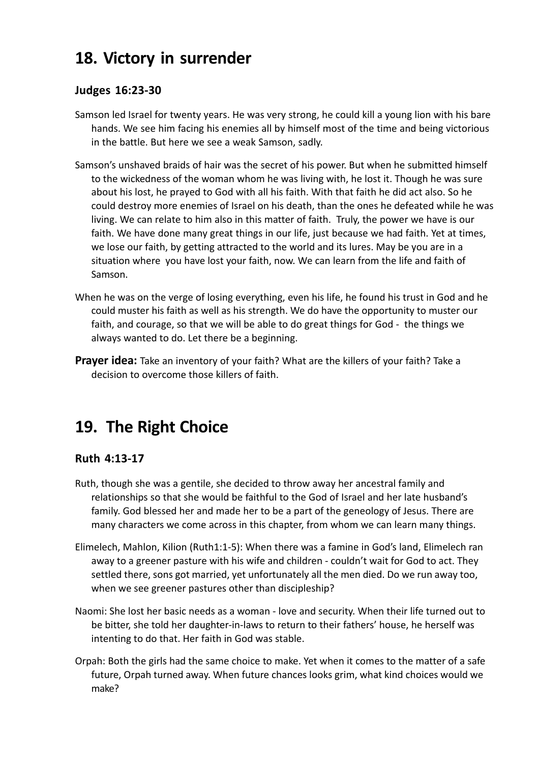# **18. Victory in surrender**

#### **Judges 16:23-30**

- Samson led Israel for twenty years. He was very strong, he could kill a young lion with his bare hands. We see him facing his enemies all by himself most of the time and being victorious in the battle. But here we see a weak Samson, sadly.
- Samson's unshaved braids of hair was the secret of his power. But when he submitted himself to the wickedness of the woman whom he was living with, he lost it. Though he was sure about his lost, he prayed to God with all his faith. With that faith he did act also. So he could destroy more enemies of Israel on his death, than the ones he defeated while he was living. We can relate to him also in this matter of faith. Truly, the power we have is our faith. We have done many great things in our life, just because we had faith. Yet at times, we lose our faith, by getting attracted to the world and its lures. May be you are in a situation where you have lost your faith, now. We can learn from the life and faith of Samson.
- When he was on the verge of losing everything, even his life, he found his trust in God and he could muster his faith as well as his strength. We do have the opportunity to muster our faith, and courage, so that we will be able to do great things for God - the things we always wanted to do. Let there be a beginning.
- **Prayer idea:** Take an inventory of your faith? What are the killers of your faith? Take a decision to overcome those killers of faith.

# **19. The Right Choice**

### **Ruth 4:13-17**

- Ruth, though she was a gentile, she decided to throw away her ancestral family and relationships so that she would be faithful to the God of Israel and her late husband's family. God blessed her and made her to be a part of the geneology of Jesus. There are many characters we come across in this chapter, from whom we can learn many things.
- Elimelech, Mahlon, Kilion (Ruth1:1-5): When there was a famine in God's land, Elimelech ran away to a greener pasture with his wife and children - couldn't wait for God to act. They settled there, sons got married, yet unfortunately all the men died. Do we run away too, when we see greener pastures other than discipleship?
- Naomi: She lost her basic needs as a woman love and security. When their life turned out to be bitter, she told her daughter-in-laws to return to their fathers' house, he herself was intenting to do that. Her faith in God was stable.
- Orpah: Both the girls had the same choice to make. Yet when it comes to the matter of a safe future, Orpah turned away. When future chances looks grim, what kind choices would we make?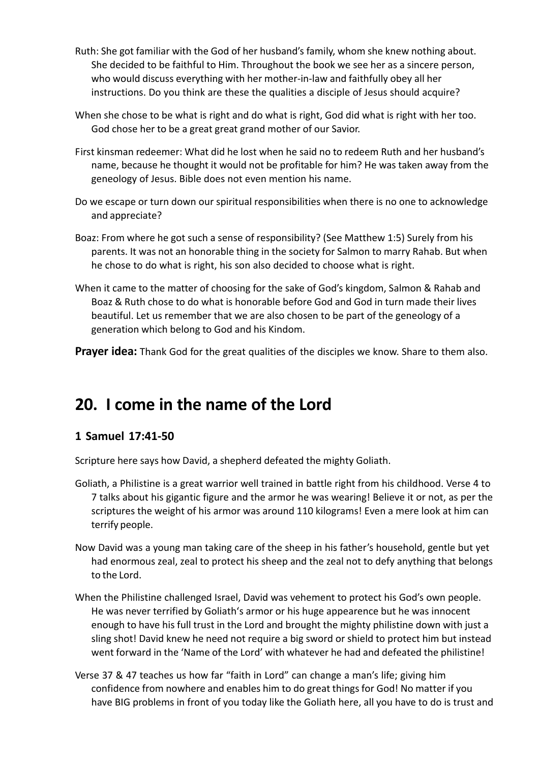- Ruth: She got familiar with the God of her husband's family, whom she knew nothing about. She decided to be faithful to Him. Throughout the book we see her as a sincere person, who would discuss everything with her mother-in-law and faithfully obey all her instructions. Do you think are these the qualities a disciple of Jesus should acquire?
- When she chose to be what is right and do what is right, God did what is right with her too. God chose her to be a great great grand mother of our Savior.
- First kinsman redeemer: What did he lost when he said no to redeem Ruth and her husband's name, because he thought it would not be profitable for him? He was taken away from the geneology of Jesus. Bible does not even mention his name.
- Do we escape or turn down our spiritual responsibilities when there is no one to acknowledge and appreciate?
- Boaz: From where he got such a sense of responsibility? (See Matthew 1:5) Surely from his parents. It was not an honorable thing in the society for Salmon to marry Rahab. But when he chose to do what is right, his son also decided to choose what is right.
- When it came to the matter of choosing for the sake of God's kingdom, Salmon & Rahab and Boaz & Ruth chose to do what is honorable before God and God in turn made their lives beautiful. Let us remember that we are also chosen to be part of the geneology of a generation which belong to God and his Kindom.

**Prayer idea:** Thank God for the great qualities of the disciples we know. Share to them also.

### **20. I come in the name of the Lord**

#### **1 Samuel 17:41-50**

Scripture here says how David, a shepherd defeated the mighty Goliath.

- Goliath, a Philistine is a great warrior well trained in battle right from his childhood. Verse 4 to 7 talks about his gigantic figure and the armor he was wearing! Believe it or not, as per the scriptures the weight of his armor was around 110 kilograms! Even a mere look at him can terrify people.
- Now David was a young man taking care of the sheep in his father's household, gentle but yet had enormous zeal, zeal to protect his sheep and the zeal not to defy anything that belongs to the Lord.
- When the Philistine challenged Israel, David was vehement to protect his God's own people. He was never terrified by Goliath's armor or his huge appearence but he was innocent enough to have his full trust in the Lord and brought the mighty philistine down with just a sling shot! David knew he need not require a big sword or shield to protect him but instead went forward in the 'Name of the Lord' with whatever he had and defeated the philistine!
- Verse 37 & 47 teaches us how far "faith in Lord" can change a man's life; giving him confidence from nowhere and enables him to do great things for God! No matter if you have BIG problems in front of you today like the Goliath here, all you have to do is trust and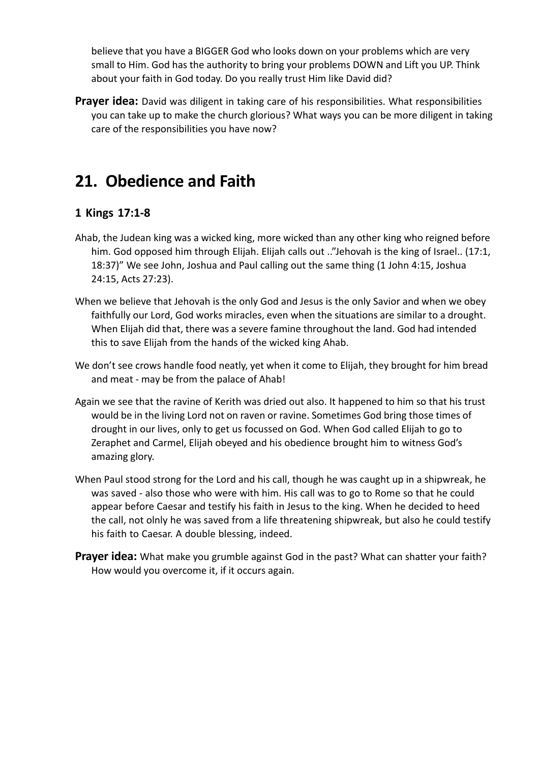believe that you have a BIGGER God who looks down on your problems which are very small to Him. God has the authority to bring your problems DOWN and Lift you UP. Think about your faith in God today. Do you really trust Him like David did?

**Prayer idea:** David was diligent in taking care of his responsibilities. What responsibilities you can take up to make the church glorious? What ways you can be more diligent in taking care of the responsibilities you have now?

### **21. Obedience and Faith**

#### **1 Kings 17:1-8**

- Ahab, the Judean king was a wicked king, more wicked than any other king who reigned before him. God opposed him through Elijah. Elijah calls out .."Jehovah is the king of Israel.. (17:1, 18:37)" We see John, Joshua and Paul calling out the same thing (1 John 4:15, Joshua 24:15, Acts 27:23).
- When we believe that Jehovah is the only God and Jesus is the only Savior and when we obey faithfully our Lord, God works miracles, even when the situations are similar to a drought. When Elijah did that, there was a severe famine throughout the land. God had intended this to save Elijah from the hands of the wicked king Ahab.
- We don't see crows handle food neatly, yet when it come to Elijah, they brought for him bread and meat - may be from the palace of Ahab!
- Again we see that the ravine of Kerith was dried out also. It happened to him so that his trust would be in the living Lord not on raven or ravine. Sometimes God bring those times of drought in our lives, only to get us focussed on God. When God called Elijah to go to Zeraphet and Carmel, Elijah obeyed and his obedience brought him to witness God's amazing glory.
- When Paul stood strong for the Lord and his call, though he was caught up in a shipwreak, he was saved - also those who were with him. His call was to go to Rome so that he could appear before Caesar and testify his faith in Jesus to the king. When he decided to heed the call, not olnly he was saved from a life threatening shipwreak, but also he could testify his faith to Caesar. A double blessing, indeed.
- **Prayer idea:** What make you grumble against God in the past? What can shatter your faith? How would you overcome it, if it occurs again.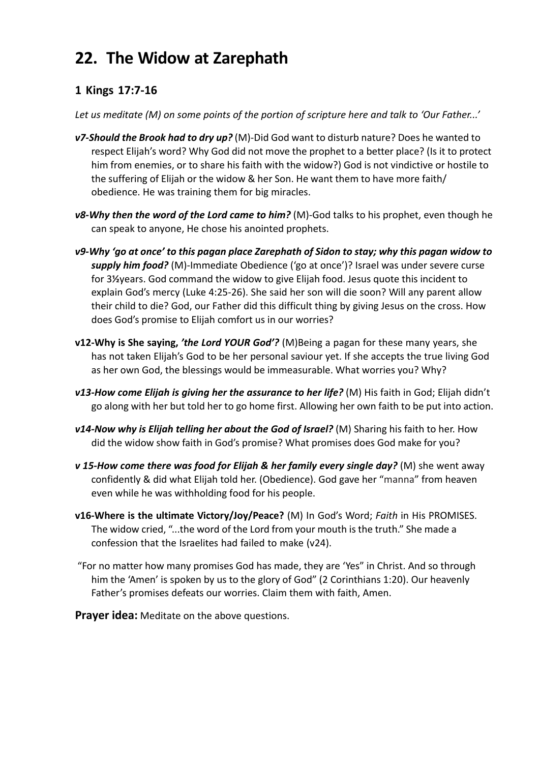# **22. The Widow at Zarephath**

### **1 Kings 17:7-16**

*Let us meditate (M) on some points of the portion of scripture here and talk to 'Our Father...'*

- *v7-Should the Brook had to dry up?* (M)-Did God want to disturb nature? Does he wanted to respect Elijah's word? Why God did not move the prophet to a better place? (Is it to protect him from enemies, or to share his faith with the widow?) God is not vindictive or hostile to the suffering of Elijah or the widow & her Son. He want them to have more faith/ obedience. He was training them for big miracles.
- *v8-Why then the word of the Lord came to him?* (M)-God talks to his prophet, even though he can speak to anyone, He chose his anointed prophets.
- *v9-Why 'go at once' to this pagan place Zarephath of Sidon to stay; why this pagan widow to supply him food?* (M)-Immediate Obedience ('go at once')? Israel was under severe curse for 3**½**years. God command the widow to give Elijah food. Jesus quote this incident to explain God's mercy (Luke 4:25-26). She said her son will die soon? Will any parent allow their child to die? God, our Father did this difficult thing by giving Jesus on the cross. How does God's promise to Elijah comfort us in our worries?
- **v12-Why is She saying,** *'the Lord YOUR God'?* (M)Being a pagan for these many years, she has not taken Elijah's God to be her personal saviour yet. If she accepts the true living God as her own God, the blessings would be immeasurable. What worries you? Why?
- *v13-How come Elijah is giving her the assurance to her life?* (M) His faith in God; Elijah didn't go along with her but told her to go home first. Allowing her own faith to be put into action.
- *v14-Now why is Elijah telling her about the God of Israel?* (M) Sharing his faith to her. How did the widow show faith in God's promise? What promises does God make for you?
- *v* 15-How come there was food for Elijah & her family every single day? (M) she went away confidently & did what Elijah told her. (Obedience). God gave her "manna" from heaven even while he was withholding food for his people.
- **v16-Where is the ultimate Victory/Joy/Peace?** (M) In God's Word; *Faith* in His PROMISES. The widow cried, "...the word of the Lord from your mouth is the truth." She made a confession that the Israelites had failed to make (v24).
- "For no matter how many promises God has made, they are 'Yes" in Christ. And so through him the 'Amen' is spoken by us to the glory of God" (2 Corinthians 1:20). Our heavenly Father's promises defeats our worries. Claim them with faith, Amen.

**Prayer idea:** Meditate on the above questions.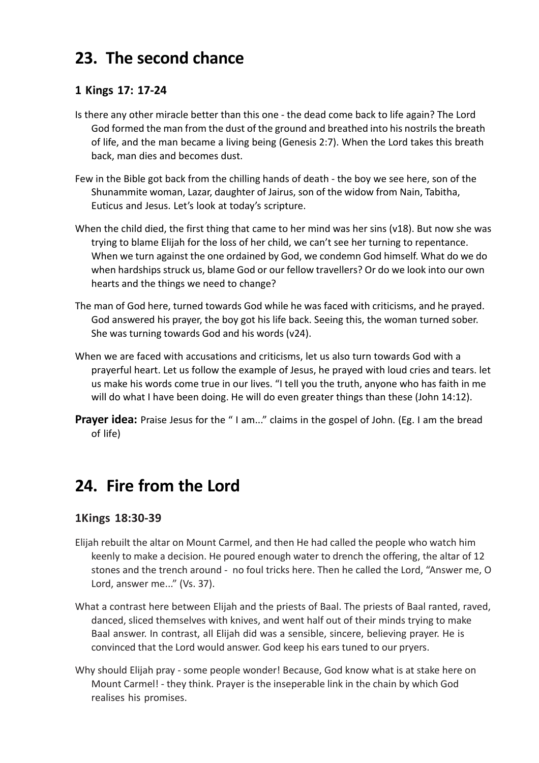# **23. The second chance**

#### **1 Kings 17: 17-24**

- Is there any other miracle better than this one the dead come back to life again? The Lord God formed the man from the dust of the ground and breathed into his nostrils the breath of life, and the man became a living being (Genesis 2:7). When the Lord takes this breath back, man dies and becomes dust.
- Few in the Bible got back from the chilling hands of death the boy we see here, son of the Shunammite woman, Lazar, daughter of Jairus, son of the widow from Nain, Tabitha, Euticus and Jesus. Let's look at today's scripture.
- When the child died, the first thing that came to her mind was her sins (v18). But now she was trying to blame Elijah for the loss of her child, we can't see her turning to repentance. When we turn against the one ordained by God, we condemn God himself. What do we do when hardships struck us, blame God or our fellow travellers? Or do we look into our own hearts and the things we need to change?
- The man of God here, turned towards God while he was faced with criticisms, and he prayed. God answered his prayer, the boy got his life back. Seeing this, the woman turned sober. She was turning towards God and his words (v24).
- When we are faced with accusations and criticisms, let us also turn towards God with a prayerful heart. Let us follow the example of Jesus, he prayed with loud cries and tears. let us make his words come true in our lives. "I tell you the truth, anyone who has faith in me will do what I have been doing. He will do even greater things than these (John 14:12).
- **Prayer idea:** Praise Jesus for the "I am..." claims in the gospel of John. (Eg. I am the bread of life)

### **24. Fire from the Lord**

#### **1Kings 18:30-39**

- Elijah rebuilt the altar on Mount Carmel, and then He had called the people who watch him keenly to make a decision. He poured enough water to drench the offering, the altar of 12 stones and the trench around - no foul tricks here. Then he called the Lord, "Answer me, O Lord, answer me..." (Vs. 37).
- What a contrast here between Elijah and the priests of Baal. The priests of Baal ranted, raved, danced, sliced themselves with knives, and went half out of their minds trying to make Baal answer. In contrast, all Elijah did was a sensible, sincere, believing prayer. He is convinced that the Lord would answer. God keep his ears tuned to our pryers.
- Why should Elijah pray some people wonder! Because, God know what is at stake here on Mount Carmel! - they think. Prayer is the inseperable link in the chain by which God realises his promises.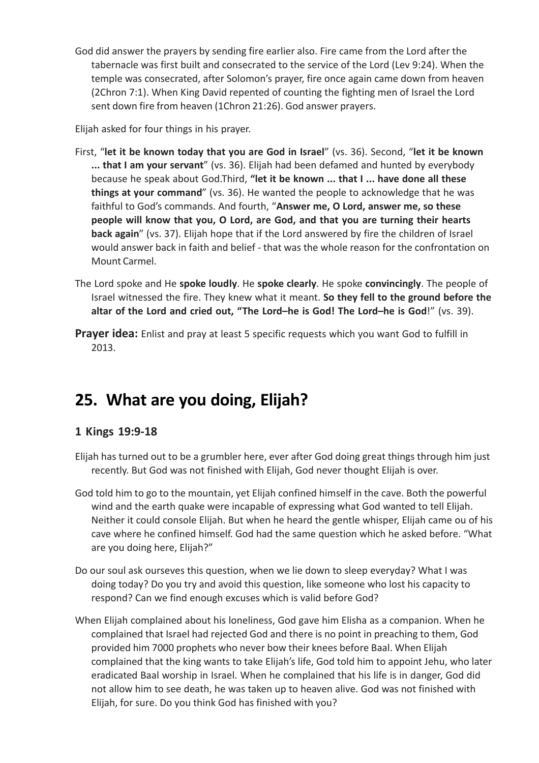God did answer the prayers by sending fire earlier also. Fire came from the Lord after the tabernacle was first built and consecrated to the service of the Lord (Lev 9:24). When the temple was consecrated, after Solomon's prayer, fire once again came down from heaven (2Chron 7:1). When King David repented of counting the fighting men of Israel the Lord sent down fire from heaven (1Chron 21:26). God answer prayers.

Elijah asked for four things in his prayer.

- First, "**let it be known today that you are God in Israel**" (vs. 36). Second, "**let it be known ... that I am your servant**" (vs. 36). Elijah had been defamed and hunted by everybody because he speak about God.Third, **"let it be known ... that I ... have done all these things at your command**" (vs. 36). He wanted the people to acknowledge that he was faithful to God's commands. And fourth, "**Answer me, O Lord, answer me, so these people will know that you, O Lord, are God, and that you are turning their hearts back again**" (vs. 37). Elijah hope that if the Lord answered by fire the children of Israel would answer back in faith and belief - that was the whole reason for the confrontation on Mount Carmel.
- The Lord spoke and He **spoke loudly**. He **spoke clearly**. He spoke **convincingly**. The people of Israel witnessed the fire. They knew what it meant. **So they fell to the ground before the altar of the Lord and cried out, "The Lord–he is God! The Lord–he is God**!" (vs. 39).
- **Prayer idea:** Enlist and pray at least 5 specific requests which you want God to fulfill in 2013.

## **25. What are you doing, Elijah?**

#### **1 Kings 19:9-18**

- Elijah has turned out to be a grumbler here, ever after God doing great things through him just recently. But God was not finished with Elijah, God never thought Elijah is over.
- God told him to go to the mountain, yet Elijah confined himself in the cave. Both the powerful wind and the earth quake were incapable of expressing what God wanted to tell Elijah. Neither it could console Elijah. But when he heard the gentle whisper, Elijah came ou of his cave where he confined himself. God had the same question which he asked before. "What are you doing here, Elijah?"
- Do our soul ask ourseves this question, when we lie down to sleep everyday? What I was doing today? Do you try and avoid this question, like someone who lost his capacity to respond? Can we find enough excuses which is valid before God?
- When Elijah complained about his loneliness, God gave him Elisha as a companion. When he complained that Israel had rejected God and there is no point in preaching to them, God provided him 7000 prophets who never bow their knees before Baal. When Elijah complained that the king wants to take Elijah's life, God told him to appoint Jehu, who later eradicated Baal worship in Israel. When he complained that his life is in danger, God did not allow him to see death, he was taken up to heaven alive. God was not finished with Elijah, for sure. Do you think God has finished with you?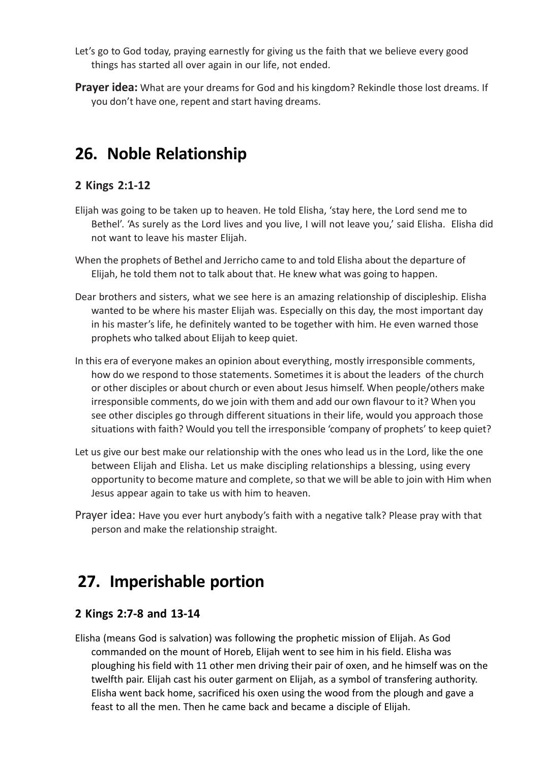- Let's go to God today, praying earnestly for giving us the faith that we believe every good things has started all over again in our life, not ended.
- **Prayer idea:** What are your dreams for God and his kingdom? Rekindle those lost dreams. If you don't have one, repent and start having dreams.

## **26. Noble Relationship**

#### **2 Kings 2:1-12**

- Elijah was going to be taken up to heaven. He told Elisha, 'stay here, the Lord send me to Bethel'. 'As surely as the Lord lives and you live, I will not leave you,' said Elisha. Elisha did not want to leave his master Elijah.
- When the prophets of Bethel and Jerricho came to and told Elisha about the departure of Elijah, he told them not to talk about that. He knew what was going to happen.
- Dear brothers and sisters, what we see here is an amazing relationship of discipleship. Elisha wanted to be where his master Elijah was. Especially on this day, the most important day in his master's life, he definitely wanted to be together with him. He even warned those prophets who talked about Elijah to keep quiet.
- In this era of everyone makes an opinion about everything, mostly irresponsible comments, how do we respond to those statements. Sometimes it is about the leaders of the church or other disciples or about church or even about Jesus himself. When people/others make irresponsible comments, do we join with them and add our own flavour to it? When you see other disciples go through different situations in their life, would you approach those situations with faith? Would you tell the irresponsible 'company of prophets' to keep quiet?
- Let us give our best make our relationship with the ones who lead us in the Lord, like the one between Elijah and Elisha. Let us make discipling relationships a blessing, using every opportunity to become mature and complete, so that we will be able to join with Him when Jesus appear again to take us with him to heaven.
- Prayer idea: Have you ever hurt anybody's faith with a negative talk? Please pray with that person and make the relationship straight.

### **27. Imperishable portion**

#### **2 Kings 2:7-8 and 13-14**

Elisha (means God is salvation) was following the prophetic mission of Elijah. As God commanded on the mount of Horeb, Elijah went to see him in his field. Elisha was ploughing his field with 11 other men driving their pair of oxen, and he himself was on the twelfth pair. Elijah cast his outer garment on Elijah, as a symbol of transfering authority. Elisha went back home, sacrificed his oxen using the wood from the plough and gave a feast to all the men. Then he came back and became a disciple of Elijah.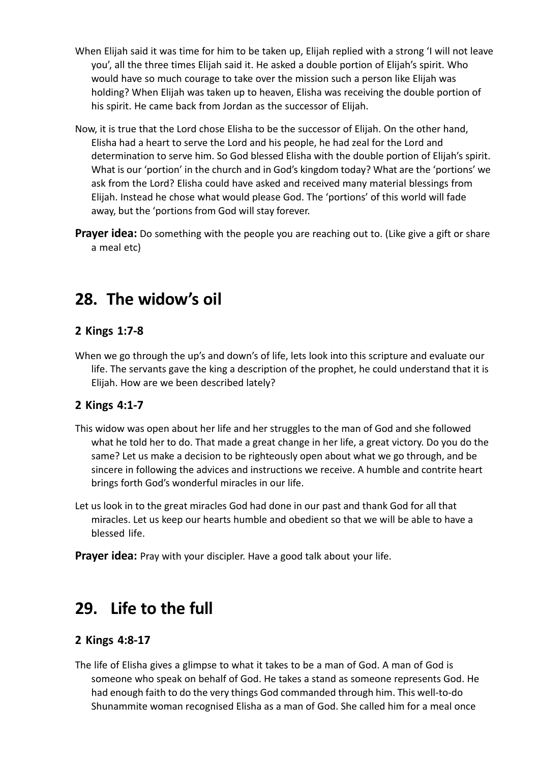- When Elijah said it was time for him to be taken up, Elijah replied with a strong 'I will not leave you', all the three times Elijah said it. He asked a double portion of Elijah's spirit. Who would have so much courage to take over the mission such a person like Elijah was holding? When Elijah was taken up to heaven, Elisha was receiving the double portion of his spirit. He came back from Jordan as the successor of Elijah.
- Now, it is true that the Lord chose Elisha to be the successor of Elijah. On the other hand, Elisha had a heart to serve the Lord and his people, he had zeal for the Lord and determination to serve him. So God blessed Elisha with the double portion of Elijah's spirit. What is our 'portion' in the church and in God's kingdom today? What are the 'portions' we ask from the Lord? Elisha could have asked and received many material blessings from Elijah. Instead he chose what would please God. The 'portions' of this world will fade away, but the 'portions from God will stay forever.
- **Prayer idea:** Do something with the people you are reaching out to. (Like give a gift or share a meal etc)

### **28. The widow's oil**

#### **2 Kings 1:7-8**

When we go through the up's and down's of life, lets look into this scripture and evaluate our life. The servants gave the king a description of the prophet, he could understand that it is Elijah. How are we been described lately?

### **2 Kings 4:1-7**

- This widow was open about her life and her struggles to the man of God and she followed what he told her to do. That made a great change in her life, a great victory. Do you do the same? Let us make a decision to be righteously open about what we go through, and be sincere in following the advices and instructions we receive. A humble and contrite heart brings forth God's wonderful miracles in our life.
- Let us look in to the great miracles God had done in our past and thank God for all that miracles. Let us keep our hearts humble and obedient so that we will be able to have a blessed life.
- **Prayer idea:** Pray with your discipler. Have a good talk about your life.

### **29. Life to the full**

### **2 Kings 4:8-17**

The life of Elisha gives a glimpse to what it takes to be a man of God. A man of God is someone who speak on behalf of God. He takes a stand as someone represents God. He had enough faith to do the very things God commanded through him. This well-to-do Shunammite woman recognised Elisha as a man of God. She called him for a meal once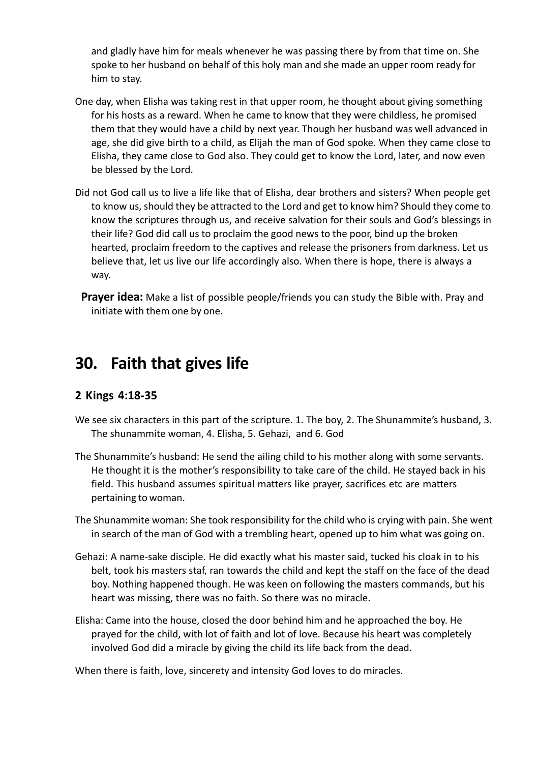and gladly have him for meals whenever he was passing there by from that time on. She spoke to her husband on behalf of this holy man and she made an upper room ready for him to stay.

- One day, when Elisha was taking rest in that upper room, he thought about giving something for his hosts as a reward. When he came to know that they were childless, he promised them that they would have a child by next year. Though her husband was well advanced in age, she did give birth to a child, as Elijah the man of God spoke. When they came close to Elisha, they came close to God also. They could get to know the Lord, later, and now even be blessed by the Lord.
- Did not God call us to live a life like that of Elisha, dear brothers and sisters? When people get to know us, should they be attracted to the Lord and get to know him? Should they come to know the scriptures through us, and receive salvation for their souls and God's blessings in their life? God did call us to proclaim the good news to the poor, bind up the broken hearted, proclaim freedom to the captives and release the prisoners from darkness. Let us believe that, let us live our life accordingly also. When there is hope, there is always a way.
	- **Prayer idea:** Make a list of possible people/friends you can study the Bible with. Pray and initiate with them one by one.

### **30. Faith that gives life**

#### **2 Kings 4:18-35**

- We see six characters in this part of the scripture. 1. The boy, 2. The Shunammite's husband, 3. The shunammite woman, 4. Elisha, 5. Gehazi, and 6. God
- The Shunammite's husband: He send the ailing child to his mother along with some servants. He thought it is the mother's responsibility to take care of the child. He stayed back in his field. This husband assumes spiritual matters like prayer, sacrifices etc are matters pertaining to woman.
- The Shunammite woman: She took responsibility for the child who is crying with pain. She went in search of the man of God with a trembling heart, opened up to him what was going on.
- Gehazi: A name-sake disciple. He did exactly what his master said, tucked his cloak in to his belt, took his masters staf, ran towards the child and kept the staff on the face of the dead boy. Nothing happened though. He was keen on following the masters commands, but his heart was missing, there was no faith. So there was no miracle.
- Elisha: Came into the house, closed the door behind him and he approached the boy. He prayed for the child, with lot of faith and lot of love. Because his heart was completely involved God did a miracle by giving the child its life back from the dead.

When there is faith, love, sincerety and intensity God loves to do miracles.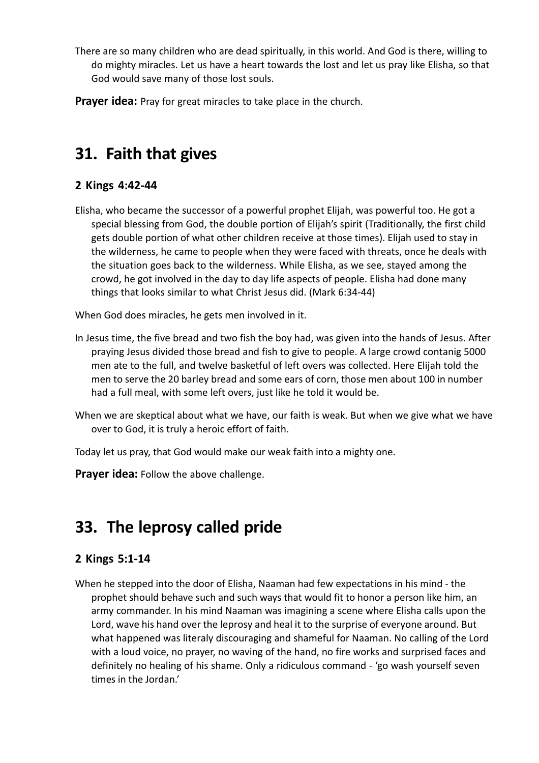There are so many children who are dead spiritually, in this world. And God is there, willing to do mighty miracles. Let us have a heart towards the lost and let us pray like Elisha, so that God would save many of those lost souls.

**Prayer idea:** Pray for great miracles to take place in the church.

# **31. Faith that gives**

### **2 Kings 4:42-44**

Elisha, who became the successor of a powerful prophet Elijah, was powerful too. He got a special blessing from God, the double portion of Elijah's spirit (Traditionally, the first child gets double portion of what other children receive at those times). Elijah used to stay in the wilderness, he came to people when they were faced with threats, once he deals with the situation goes back to the wilderness. While Elisha, as we see, stayed among the crowd, he got involved in the day to day life aspects of people. Elisha had done many things that looks similar to what Christ Jesus did. (Mark 6:34-44)

When God does miracles, he gets men involved in it.

- In Jesus time, the five bread and two fish the boy had, was given into the hands of Jesus. After praying Jesus divided those bread and fish to give to people. A large crowd contanig 5000 men ate to the full, and twelve basketful of left overs was collected. Here Elijah told the men to serve the 20 barley bread and some ears of corn, those men about 100 in number had a full meal, with some left overs, just like he told it would be.
- When we are skeptical about what we have, our faith is weak. But when we give what we have over to God, it is truly a heroic effort of faith.
- Today let us pray, that God would make our weak faith into a mighty one.

**Prayer idea:** Follow the above challenge.

# **33. The leprosy called pride**

### **2 Kings 5:1-14**

When he stepped into the door of Elisha, Naaman had few expectations in his mind - the prophet should behave such and such ways that would fit to honor a person like him, an army commander. In his mind Naaman was imagining a scene where Elisha calls upon the Lord, wave his hand over the leprosy and heal it to the surprise of everyone around. But what happened was literaly discouraging and shameful for Naaman. No calling of the Lord with a loud voice, no prayer, no waving of the hand, no fire works and surprised faces and definitely no healing of his shame. Only a ridiculous command - 'go wash yourself seven times in the Jordan.'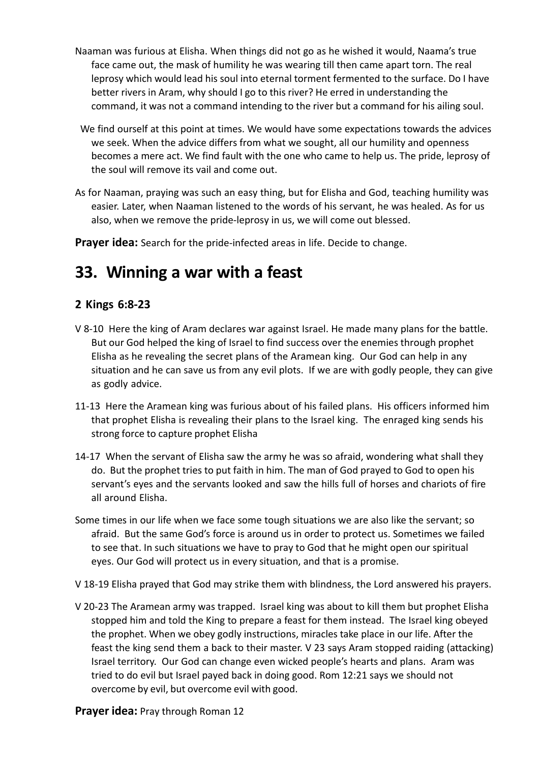- Naaman was furious at Elisha. When things did not go as he wished it would, Naama's true face came out, the mask of humility he was wearing till then came apart torn. The real leprosy which would lead his soul into eternal torment fermented to the surface. Do I have better rivers in Aram, why should I go to this river? He erred in understanding the command, it was not a command intending to the river but a command for his ailing soul.
- We find ourself at this point at times. We would have some expectations towards the advices we seek. When the advice differs from what we sought, all our humility and openness becomes a mere act. We find fault with the one who came to help us. The pride, leprosy of the soul will remove its vail and come out.
- As for Naaman, praying was such an easy thing, but for Elisha and God, teaching humility was easier. Later, when Naaman listened to the words of his servant, he was healed. As for us also, when we remove the pride-leprosy in us, we will come out blessed.

**Prayer idea:** Search for the pride-infected areas in life. Decide to change.

### **33. Winning a war with a feast**

### **2 Kings 6:8-23**

- V 8-10 Here the king of Aram declares war against Israel. He made many plans for the battle. But our God helped the king of Israel to find success over the enemies through prophet Elisha as he revealing the secret plans of the Aramean king. Our God can help in any situation and he can save us from any evil plots. If we are with godly people, they can give as godly advice.
- 11-13 Here the Aramean king was furious about of his failed plans. His officers informed him that prophet Elisha is revealing their plans to the Israel king. The enraged king sends his strong force to capture prophet Elisha
- 14-17 When the servant of Elisha saw the army he was so afraid, wondering what shall they do. But the prophet tries to put faith in him. The man of God prayed to God to open his servant's eyes and the servants looked and saw the hills full of horses and chariots of fire all around Elisha.
- Some times in our life when we face some tough situations we are also like the servant; so afraid. But the same God's force is around us in order to protect us. Sometimes we failed to see that. In such situations we have to pray to God that he might open our spiritual eyes. Our God will protect us in every situation, and that is a promise.
- V 18-19 Elisha prayed that God may strike them with blindness, the Lord answered his prayers.
- V 20-23 The Aramean army was trapped. Israel king was about to kill them but prophet Elisha stopped him and told the King to prepare a feast for them instead. The Israel king obeyed the prophet. When we obey godly instructions, miracles take place in our life. After the feast the king send them a back to their master. V 23 says Aram stopped raiding (attacking) Israel territory. Our God can change even wicked people's hearts and plans. Aram was tried to do evil but Israel payed back in doing good. Rom 12:21 says we should not overcome by evil, but overcome evil with good.

#### **Prayer idea: Pray through Roman 12**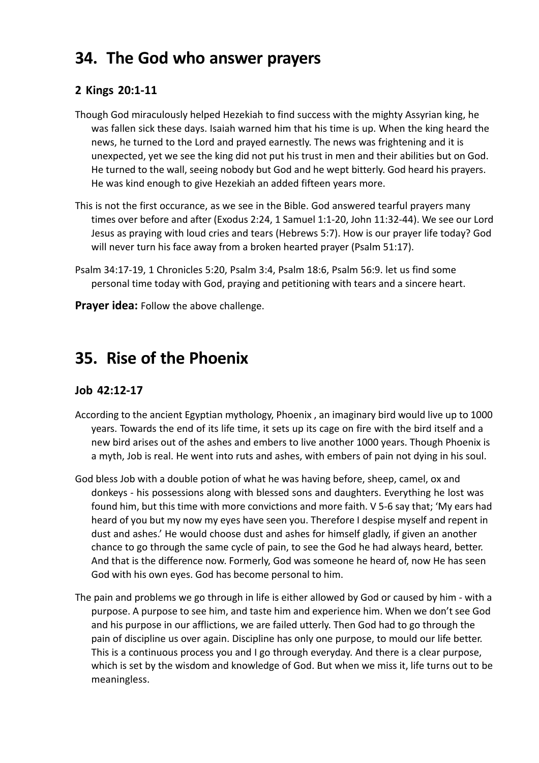### **34. The God who answer prayers**

#### **2 Kings 20:1-11**

- Though God miraculously helped Hezekiah to find success with the mighty Assyrian king, he was fallen sick these days. Isaiah warned him that his time is up. When the king heard the news, he turned to the Lord and prayed earnestly. The news was frightening and it is unexpected, yet we see the king did not put his trust in men and their abilities but on God. He turned to the wall, seeing nobody but God and he wept bitterly. God heard his prayers. He was kind enough to give Hezekiah an added fifteen years more.
- This is not the first occurance, as we see in the Bible. God answered tearful prayers many times over before and after (Exodus 2:24, 1 Samuel 1:1-20, John 11:32-44). We see our Lord Jesus as praying with loud cries and tears (Hebrews 5:7). How is our prayer life today? God will never turn his face away from a broken hearted prayer (Psalm 51:17).
- Psalm 34:17-19, 1 Chronicles 5:20, Psalm 3:4, Psalm 18:6, Psalm 56:9. let us find some personal time today with God, praying and petitioning with tears and a sincere heart.

**Prayer idea:** Follow the above challenge.

### **35. Rise of the Phoenix**

#### **Job 42:12-17**

- According to the ancient Egyptian mythology, Phoenix , an imaginary bird would live up to 1000 years. Towards the end of its life time, it sets up its cage on fire with the bird itself and a new bird arises out of the ashes and embers to live another 1000 years. Though Phoenix is a myth, Job is real. He went into ruts and ashes, with embers of pain not dying in his soul.
- God bless Job with a double potion of what he was having before, sheep, camel, ox and donkeys - his possessions along with blessed sons and daughters. Everything he lost was found him, but this time with more convictions and more faith. V 5-6 say that; 'My ears had heard of you but my now my eyes have seen you. Therefore I despise myself and repent in dust and ashes.' He would choose dust and ashes for himself gladly, if given an another chance to go through the same cycle of pain, to see the God he had always heard, better. And that is the difference now. Formerly, God was someone he heard of, now He has seen God with his own eyes. God has become personal to him.
- The pain and problems we go through in life is either allowed by God or caused by him with a purpose. A purpose to see him, and taste him and experience him. When we don't see God and his purpose in our afflictions, we are failed utterly. Then God had to go through the pain of discipline us over again. Discipline has only one purpose, to mould our life better. This is a continuous process you and I go through everyday. And there is a clear purpose, which is set by the wisdom and knowledge of God. But when we miss it, life turns out to be meaningless.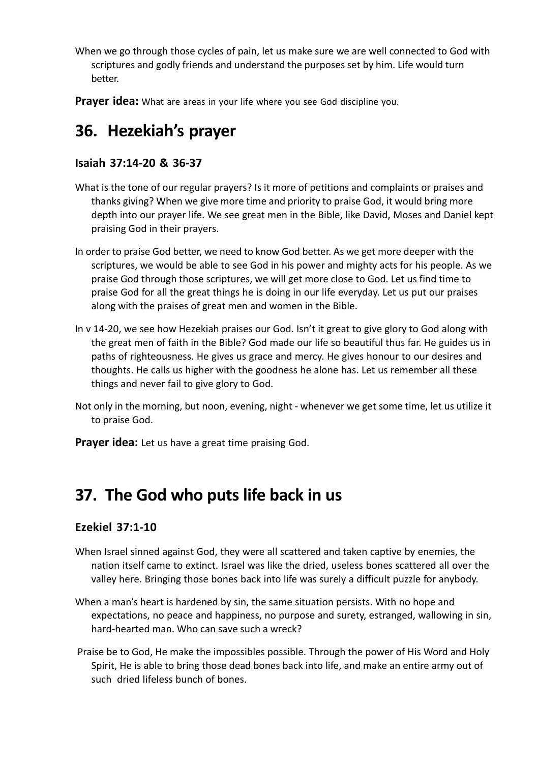When we go through those cycles of pain, let us make sure we are well connected to God with scriptures and godly friends and understand the purposes set by him. Life would turn better.

**Prayer idea:** What are areas in your life where you see God discipline you.

### **36. Hezekiah's prayer**

#### **Isaiah 37:14-20 & 36-37**

- What is the tone of our regular prayers? Is it more of petitions and complaints or praises and thanks giving? When we give more time and priority to praise God, it would bring more depth into our prayer life. We see great men in the Bible, like David, Moses and Daniel kept praising God in their prayers.
- In order to praise God better, we need to know God better. As we get more deeper with the scriptures, we would be able to see God in his power and mighty acts for his people. As we praise God through those scriptures, we will get more close to God. Let us find time to praise God for all the great things he is doing in our life everyday. Let us put our praises along with the praises of great men and women in the Bible.
- In v 14-20, we see how Hezekiah praises our God. Isn't it great to give glory to God along with the great men of faith in the Bible? God made our life so beautiful thus far. He guides us in paths of righteousness. He gives us grace and mercy. He gives honour to our desires and thoughts. He calls us higher with the goodness he alone has. Let us remember all these things and never fail to give glory to God.
- Not only in the morning, but noon, evening, night whenever we get some time, let us utilize it to praise God.
- **Prayer idea:** Let us have a great time praising God.

### **37. The God who puts life back in us**

#### **Ezekiel 37:1-10**

- When Israel sinned against God, they were all scattered and taken captive by enemies, the nation itself came to extinct. Israel was like the dried, useless bones scattered all over the valley here. Bringing those bones back into life was surely a difficult puzzle for anybody.
- When a man's heart is hardened by sin, the same situation persists. With no hope and expectations, no peace and happiness, no purpose and surety, estranged, wallowing in sin, hard-hearted man. Who can save such a wreck?
- Praise be to God, He make the impossibles possible. Through the power of His Word and Holy Spirit, He is able to bring those dead bones back into life, and make an entire army out of such dried lifeless bunch of bones.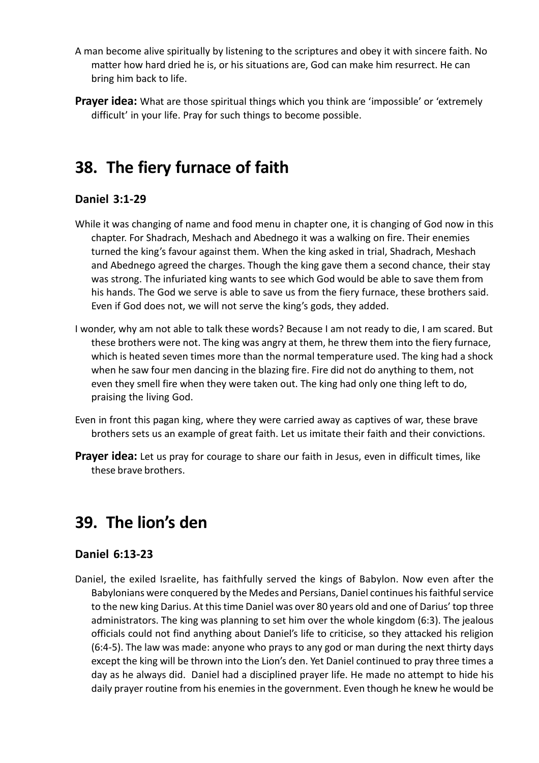- A man become alive spiritually by listening to the scriptures and obey it with sincere faith. No matter how hard dried he is, or his situations are, God can make him resurrect. He can bring him back to life.
- **Prayer idea:** What are those spiritual things which you think are 'impossible' or 'extremely difficult' in your life. Pray for such things to become possible.

### **38. The fiery furnace of faith**

### **Daniel 3:1-29**

- While it was changing of name and food menu in chapter one, it is changing of God now in this chapter. For Shadrach, Meshach and Abednego it was a walking on fire. Their enemies turned the king's favour against them. When the king asked in trial, Shadrach, Meshach and Abednego agreed the charges. Though the king gave them a second chance, their stay was strong. The infuriated king wants to see which God would be able to save them from his hands. The God we serve is able to save us from the fiery furnace, these brothers said. Even if God does not, we will not serve the king's gods, they added.
- I wonder, why am not able to talk these words? Because I am not ready to die, I am scared. But these brothers were not. The king was angry at them, he threw them into the fiery furnace, which is heated seven times more than the normal temperature used. The king had a shock when he saw four men dancing in the blazing fire. Fire did not do anything to them, not even they smell fire when they were taken out. The king had only one thing left to do, praising the living God.
- Even in front this pagan king, where they were carried away as captives of war, these brave brothers sets us an example of great faith. Let us imitate their faith and their convictions.
- **Prayer idea:** Let us pray for courage to share our faith in Jesus, even in difficult times, like these brave brothers.

### **39. The lion's den**

#### **Daniel 6:13-23**

Daniel, the exiled Israelite, has faithfully served the kings of Babylon. Now even after the Babylonians were conquered by the Medes and Persians, Daniel continues his faithful service to the new king Darius. At this time Daniel was over 80 years old and one of Darius' top three administrators. The king was planning to set him over the whole kingdom (6:3). The jealous officials could not find anything about Daniel's life to criticise, so they attacked his religion (6:4-5). The law was made: anyone who prays to any god or man during the next thirty days except the king will be thrown into the Lion's den. Yet Daniel continued to pray three times a day as he always did. Daniel had a disciplined prayer life. He made no attempt to hide his daily prayer routine from his enemies in the government. Even though he knew he would be